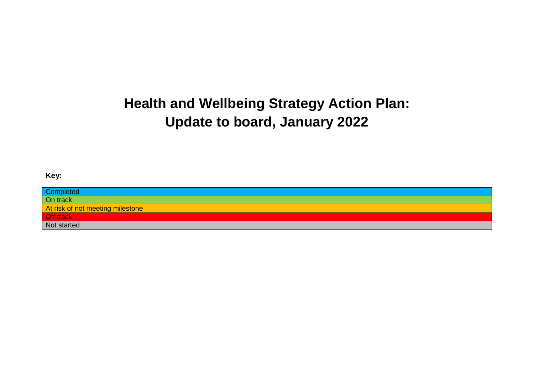# **Health and Wellbeing Strategy Action Plan: Update to board, January 2022**

#### **Key:**

| Completed                        |
|----------------------------------|
| On track                         |
| At risk of not meeting milestone |
| Off track                        |
| Not started                      |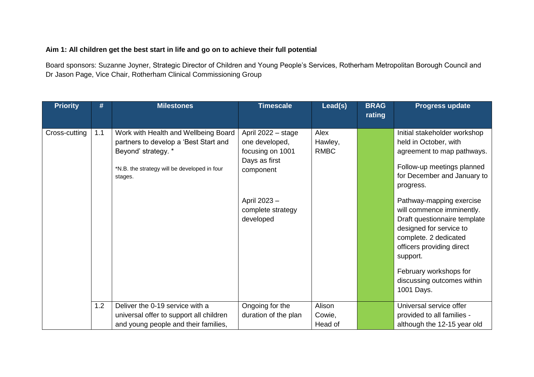### **Aim 1: All children get the best start in life and go on to achieve their full potential**

Board sponsors: Suzanne Joyner, Strategic Director of Children and Young People's Services, Rotherham Metropolitan Borough Council and Dr Jason Page, Vice Chair, Rotherham Clinical Commissioning Group

| <b>Priority</b> | #   | <b>Milestones</b>                                                             | <b>Timescale</b>                        | Lead(s)          | <b>BRAG</b><br>rating | <b>Progress update</b>                                    |
|-----------------|-----|-------------------------------------------------------------------------------|-----------------------------------------|------------------|-----------------------|-----------------------------------------------------------|
| Cross-cutting   | 1.1 | Work with Health and Wellbeing Board<br>partners to develop a 'Best Start and | April 2022 - stage<br>one developed,    | Alex<br>Hawley,  |                       | Initial stakeholder workshop<br>held in October, with     |
|                 |     | Beyond' strategy. *                                                           | focusing on 1001                        | <b>RMBC</b>      |                       | agreement to map pathways.                                |
|                 |     | *N.B. the strategy will be developed in four                                  | Days as first                           |                  |                       | Follow-up meetings planned                                |
|                 |     | stages.                                                                       | component                               |                  |                       | for December and January to<br>progress.                  |
|                 |     |                                                                               | April 2023 -                            |                  |                       | Pathway-mapping exercise                                  |
|                 |     |                                                                               | complete strategy<br>developed          |                  |                       | will commence imminently.<br>Draft questionnaire template |
|                 |     |                                                                               |                                         |                  |                       | designed for service to                                   |
|                 |     |                                                                               |                                         |                  |                       | complete. 2 dedicated<br>officers providing direct        |
|                 |     |                                                                               |                                         |                  |                       | support.                                                  |
|                 |     |                                                                               |                                         |                  |                       | February workshops for                                    |
|                 |     |                                                                               |                                         |                  |                       | discussing outcomes within<br>1001 Days.                  |
|                 |     |                                                                               |                                         |                  |                       |                                                           |
|                 | 1.2 | Deliver the 0-19 service with a<br>universal offer to support all children    | Ongoing for the<br>duration of the plan | Alison<br>Cowie, |                       | Universal service offer<br>provided to all families -     |
|                 |     | and young people and their families,                                          |                                         | Head of          |                       | although the 12-15 year old                               |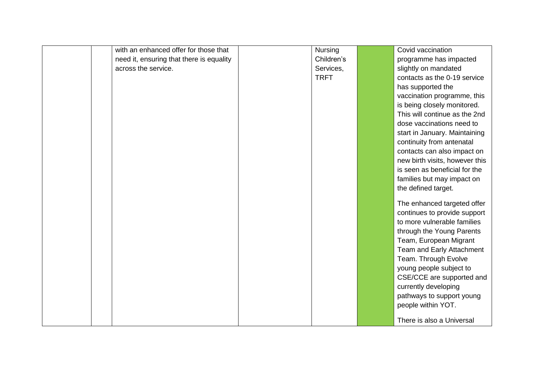| with an enhanced offer for those that    | Nursing     | Covid vaccination              |
|------------------------------------------|-------------|--------------------------------|
| need it, ensuring that there is equality | Children's  | programme has impacted         |
| across the service.                      | Services,   |                                |
|                                          | <b>TRFT</b> | slightly on mandated           |
|                                          |             | contacts as the 0-19 service   |
|                                          |             | has supported the              |
|                                          |             | vaccination programme, this    |
|                                          |             | is being closely monitored.    |
|                                          |             | This will continue as the 2nd  |
|                                          |             | dose vaccinations need to      |
|                                          |             | start in January. Maintaining  |
|                                          |             | continuity from antenatal      |
|                                          |             | contacts can also impact on    |
|                                          |             | new birth visits, however this |
|                                          |             | is seen as beneficial for the  |
|                                          |             | families but may impact on     |
|                                          |             | the defined target.            |
|                                          |             | The enhanced targeted offer    |
|                                          |             | continues to provide support   |
|                                          |             | to more vulnerable families    |
|                                          |             |                                |
|                                          |             | through the Young Parents      |
|                                          |             | Team, European Migrant         |
|                                          |             | Team and Early Attachment      |
|                                          |             | Team. Through Evolve           |
|                                          |             | young people subject to        |
|                                          |             | CSE/CCE are supported and      |
|                                          |             | currently developing           |
|                                          |             | pathways to support young      |
|                                          |             | people within YOT.             |
|                                          |             | There is also a Universal      |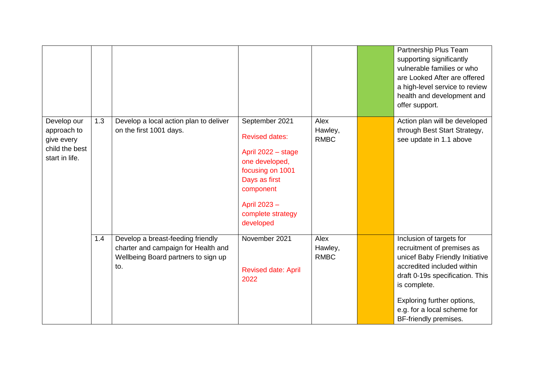|                                                                              |     |                                                                                                                        |                                                                                                                                                                                    |                                | Partnership Plus Team<br>supporting significantly<br>vulnerable families or who<br>are Looked After are offered<br>a high-level service to review<br>health and development and<br>offer support.                                                                |
|------------------------------------------------------------------------------|-----|------------------------------------------------------------------------------------------------------------------------|------------------------------------------------------------------------------------------------------------------------------------------------------------------------------------|--------------------------------|------------------------------------------------------------------------------------------------------------------------------------------------------------------------------------------------------------------------------------------------------------------|
| Develop our<br>approach to<br>give every<br>child the best<br>start in life. | 1.3 | Develop a local action plan to deliver<br>on the first 1001 days.                                                      | September 2021<br><b>Revised dates:</b><br>April 2022 - stage<br>one developed,<br>focusing on 1001<br>Days as first<br>component<br>April 2023-<br>complete strategy<br>developed | Alex<br>Hawley,<br><b>RMBC</b> | Action plan will be developed<br>through Best Start Strategy,<br>see update in 1.1 above                                                                                                                                                                         |
|                                                                              | 1.4 | Develop a breast-feeding friendly<br>charter and campaign for Health and<br>Wellbeing Board partners to sign up<br>to. | November 2021<br><b>Revised date: April</b><br>2022                                                                                                                                | Alex<br>Hawley,<br><b>RMBC</b> | Inclusion of targets for<br>recruitment of premises as<br>unicef Baby Friendly Initiative<br>accredited included within<br>draft 0-19s specification. This<br>is complete.<br>Exploring further options,<br>e.g. for a local scheme for<br>BF-friendly premises. |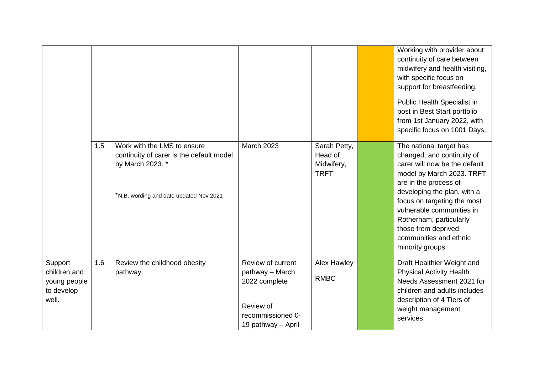|                                                                |     |                                                                                                                                        |                                                                                                               |                                                      | Working with provider about<br>continuity of care between<br>midwifery and health visiting,<br>with specific focus on<br>support for breastfeeding.<br>Public Health Specialist in<br>post in Best Start portfolio<br>from 1st January 2022, with<br>specific focus on 1001 Days.                                                       |
|----------------------------------------------------------------|-----|----------------------------------------------------------------------------------------------------------------------------------------|---------------------------------------------------------------------------------------------------------------|------------------------------------------------------|-----------------------------------------------------------------------------------------------------------------------------------------------------------------------------------------------------------------------------------------------------------------------------------------------------------------------------------------|
|                                                                | 1.5 | Work with the LMS to ensure<br>continuity of carer is the default model<br>by March 2023. *<br>*N.B. wording and date updated Nov 2021 | <b>March 2023</b>                                                                                             | Sarah Petty,<br>Head of<br>Midwifery,<br><b>TRFT</b> | The national target has<br>changed, and continuity of<br>carer will now be the default<br>model by March 2023. TRFT<br>are in the process of<br>developing the plan, with a<br>focus on targeting the most<br>vulnerable communities in<br>Rotherham, particularly<br>those from deprived<br>communities and ethnic<br>minority groups. |
| Support<br>children and<br>young people<br>to develop<br>well. | 1.6 | Review the childhood obesity<br>pathway.                                                                                               | Review of current<br>pathway - March<br>2022 complete<br>Review of<br>recommissioned 0-<br>19 pathway - April | <b>Alex Hawley</b><br><b>RMBC</b>                    | Draft Healthier Weight and<br><b>Physical Activity Health</b><br>Needs Assessment 2021 for<br>children and adults includes<br>description of 4 Tiers of<br>weight management<br>services.                                                                                                                                               |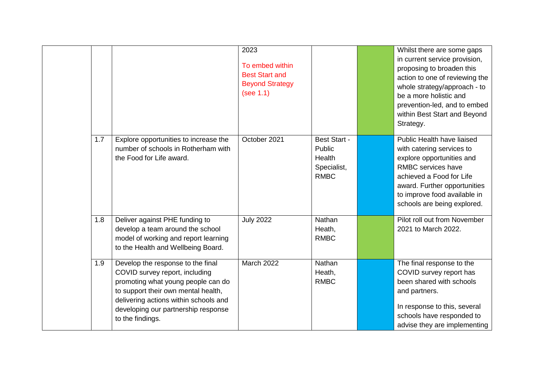|     |                                                                                                                                                                                                                                                      | 2023<br>To embed within<br><b>Best Start and</b><br><b>Beyond Strategy</b><br>(see 1.1) |                                                                       | Whilst there are some gaps<br>in current service provision,<br>proposing to broaden this<br>action to one of reviewing the<br>whole strategy/approach - to<br>be a more holistic and<br>prevention-led, and to embed<br>within Best Start and Beyond<br>Strategy. |
|-----|------------------------------------------------------------------------------------------------------------------------------------------------------------------------------------------------------------------------------------------------------|-----------------------------------------------------------------------------------------|-----------------------------------------------------------------------|-------------------------------------------------------------------------------------------------------------------------------------------------------------------------------------------------------------------------------------------------------------------|
| 1.7 | Explore opportunities to increase the<br>number of schools in Rotherham with<br>the Food for Life award.                                                                                                                                             | October 2021                                                                            | <b>Best Start -</b><br>Public<br>Health<br>Specialist,<br><b>RMBC</b> | Public Health have liaised<br>with catering services to<br>explore opportunities and<br>RMBC services have<br>achieved a Food for Life<br>award. Further opportunities<br>to improve food available in<br>schools are being explored.                             |
| 1.8 | Deliver against PHE funding to<br>develop a team around the school<br>model of working and report learning<br>to the Health and Wellbeing Board.                                                                                                     | <b>July 2022</b>                                                                        | Nathan<br>Heath,<br><b>RMBC</b>                                       | Pilot roll out from November<br>2021 to March 2022.                                                                                                                                                                                                               |
| 1.9 | Develop the response to the final<br>COVID survey report, including<br>promoting what young people can do<br>to support their own mental health,<br>delivering actions within schools and<br>developing our partnership response<br>to the findings. | March 2022                                                                              | Nathan<br>Heath,<br><b>RMBC</b>                                       | The final response to the<br>COVID survey report has<br>been shared with schools<br>and partners.<br>In response to this, several<br>schools have responded to<br>advise they are implementing                                                                    |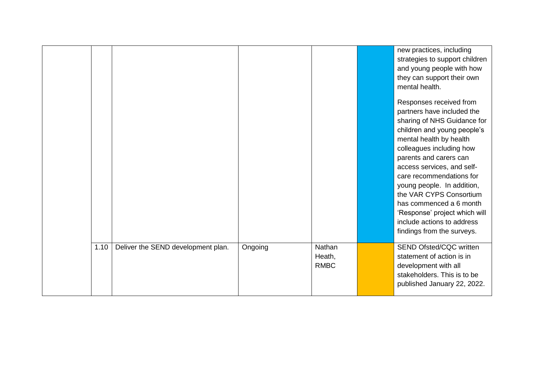|      |                                    |         |                                 | new practices, including<br>strategies to support children<br>and young people with how<br>they can support their own<br>mental health.<br>Responses received from<br>partners have included the<br>sharing of NHS Guidance for<br>children and young people's<br>mental health by health<br>colleagues including how<br>parents and carers can<br>access services, and self-<br>care recommendations for<br>young people. In addition,<br>the VAR CYPS Consortium<br>has commenced a 6 month<br>'Response' project which will<br>include actions to address<br>findings from the surveys. |
|------|------------------------------------|---------|---------------------------------|--------------------------------------------------------------------------------------------------------------------------------------------------------------------------------------------------------------------------------------------------------------------------------------------------------------------------------------------------------------------------------------------------------------------------------------------------------------------------------------------------------------------------------------------------------------------------------------------|
| 1.10 | Deliver the SEND development plan. | Ongoing | Nathan<br>Heath,<br><b>RMBC</b> | <b>SEND Ofsted/CQC written</b><br>statement of action is in<br>development with all<br>stakeholders. This is to be<br>published January 22, 2022.                                                                                                                                                                                                                                                                                                                                                                                                                                          |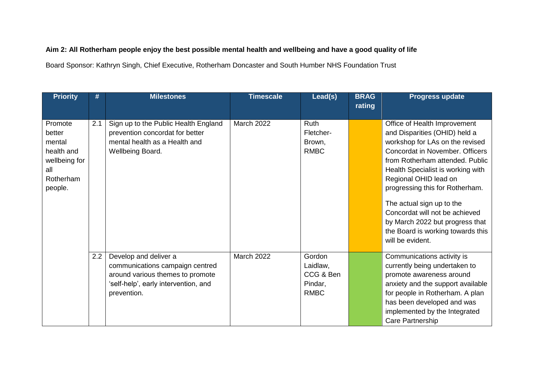## **Aim 2: All Rotherham people enjoy the best possible mental health and wellbeing and have a good quality of life**

Board Sponsor: Kathryn Singh, Chief Executive, Rotherham Doncaster and South Humber NHS Foundation Trust

| Office of Health Improvement                                |
|-------------------------------------------------------------|
| and Disparities (OHID) held a                               |
| workshop for LAs on the revised                             |
| Concordat in November. Officers                             |
| from Rotherham attended. Public                             |
| Health Specialist is working with<br>Regional OHID lead on  |
| progressing this for Rotherham.                             |
| The actual sign up to the                                   |
| Concordat will not be achieved                              |
| by March 2022 but progress that                             |
| the Board is working towards this                           |
|                                                             |
| Communications activity is<br>currently being undertaken to |
| promote awareness around                                    |
| anxiety and the support available                           |
| for people in Rotherham. A plan                             |
| has been developed and was                                  |
| implemented by the Integrated                               |
|                                                             |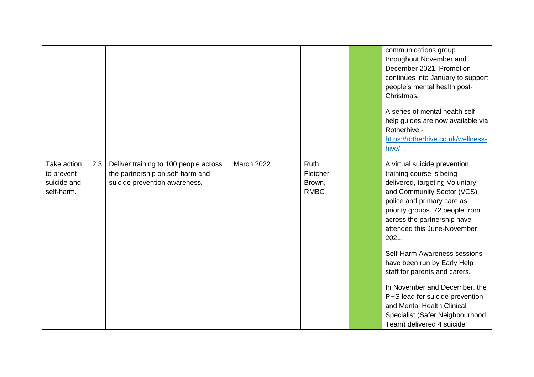|                                                        |     |                                                                                                            |            |                                            | communications group<br>throughout November and<br>December 2021, Promotion<br>continues into January to support<br>people's mental health post-<br>Christmas.<br>A series of mental health self-<br>help guides are now available via                                                                                           |
|--------------------------------------------------------|-----|------------------------------------------------------------------------------------------------------------|------------|--------------------------------------------|----------------------------------------------------------------------------------------------------------------------------------------------------------------------------------------------------------------------------------------------------------------------------------------------------------------------------------|
|                                                        |     |                                                                                                            |            |                                            | Rotherhive -<br>https://rotherhive.co.uk/wellness-<br>hive/.                                                                                                                                                                                                                                                                     |
| Take action<br>to prevent<br>suicide and<br>self-harm. | 2.3 | Deliver training to 100 people across<br>the partnership on self-harm and<br>suicide prevention awareness. | March 2022 | Ruth<br>Fletcher-<br>Brown,<br><b>RMBC</b> | A virtual suicide prevention<br>training course is being<br>delivered, targeting Voluntary<br>and Community Sector (VCS),<br>police and primary care as<br>priority groups. 72 people from<br>across the partnership have<br>attended this June-November<br>2021.<br>Self-Harm Awareness sessions<br>have been run by Early Help |
|                                                        |     |                                                                                                            |            |                                            | staff for parents and carers.<br>In November and December, the<br>PHS lead for suicide prevention<br>and Mental Health Clinical<br>Specialist (Safer Neighbourhood<br>Team) delivered 4 suicide                                                                                                                                  |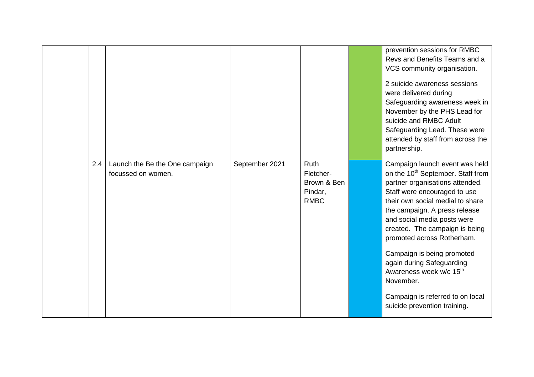|                                                             |                |                                                                   | prevention sessions for RMBC<br>Revs and Benefits Teams and a<br>VCS community organisation.<br>2 suicide awareness sessions<br>were delivered during<br>Safeguarding awareness week in<br>November by the PHS Lead for<br>suicide and RMBC Adult<br>Safeguarding Lead. These were<br>attended by staff from across the<br>partnership.                                                                                                                                                                   |
|-------------------------------------------------------------|----------------|-------------------------------------------------------------------|-----------------------------------------------------------------------------------------------------------------------------------------------------------------------------------------------------------------------------------------------------------------------------------------------------------------------------------------------------------------------------------------------------------------------------------------------------------------------------------------------------------|
| Launch the Be the One campaign<br>2.4<br>focussed on women. | September 2021 | <b>Ruth</b><br>Fletcher-<br>Brown & Ben<br>Pindar,<br><b>RMBC</b> | Campaign launch event was held<br>on the 10 <sup>th</sup> September. Staff from<br>partner organisations attended.<br>Staff were encouraged to use<br>their own social medial to share<br>the campaign. A press release<br>and social media posts were<br>created. The campaign is being<br>promoted across Rotherham.<br>Campaign is being promoted<br>again during Safeguarding<br>Awareness week w/c 15 <sup>th</sup><br>November.<br>Campaign is referred to on local<br>suicide prevention training. |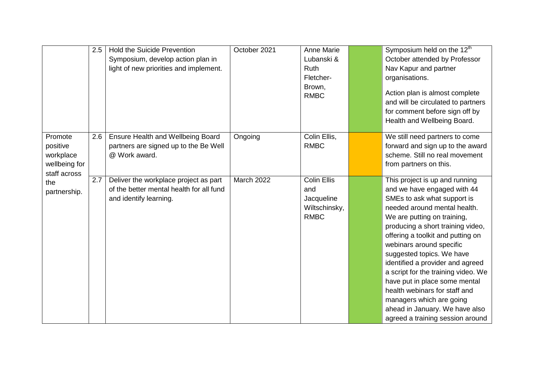|                                                                   | 2.5 | <b>Hold the Suicide Prevention</b><br>Symposium, develop action plan in<br>light of new priorities and implement. | October 2021 | <b>Anne Marie</b><br>Lubanski &<br>Ruth<br>Fletcher-<br>Brown,<br><b>RMBC</b> | Symposium held on the 12 <sup>th</sup><br>October attended by Professor<br>Nav Kapur and partner<br>organisations.<br>Action plan is almost complete<br>and will be circulated to partners<br>for comment before sign off by<br>Health and Wellbeing Board.                                                                                                                                                                                                                                                                                   |
|-------------------------------------------------------------------|-----|-------------------------------------------------------------------------------------------------------------------|--------------|-------------------------------------------------------------------------------|-----------------------------------------------------------------------------------------------------------------------------------------------------------------------------------------------------------------------------------------------------------------------------------------------------------------------------------------------------------------------------------------------------------------------------------------------------------------------------------------------------------------------------------------------|
| Promote<br>positive<br>workplace<br>wellbeing for<br>staff across | 2.6 | <b>Ensure Health and Wellbeing Board</b><br>partners are signed up to the Be Well<br>@ Work award.                | Ongoing      | Colin Ellis,<br><b>RMBC</b>                                                   | We still need partners to come<br>forward and sign up to the award<br>scheme. Still no real movement<br>from partners on this.                                                                                                                                                                                                                                                                                                                                                                                                                |
| the<br>partnership.                                               | 2.7 | Deliver the workplace project as part<br>of the better mental health for all fund<br>and identify learning.       | March 2022   | <b>Colin Ellis</b><br>and<br>Jacqueline<br>Wiltschinsky,<br><b>RMBC</b>       | This project is up and running<br>and we have engaged with 44<br>SMEs to ask what support is<br>needed around mental health.<br>We are putting on training,<br>producing a short training video,<br>offering a toolkit and putting on<br>webinars around specific<br>suggested topics. We have<br>identified a provider and agreed<br>a script for the training video. We<br>have put in place some mental<br>health webinars for staff and<br>managers which are going<br>ahead in January. We have also<br>agreed a training session around |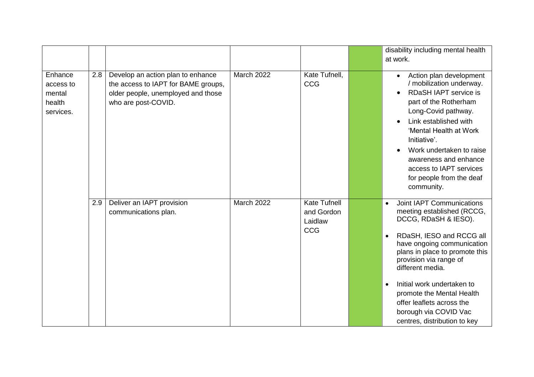|                                                       |     |                                                                                                                                       |            |                                                            | disability including mental health<br>at work.                                                                                                                                                                                                                                                                                                                                                                    |
|-------------------------------------------------------|-----|---------------------------------------------------------------------------------------------------------------------------------------|------------|------------------------------------------------------------|-------------------------------------------------------------------------------------------------------------------------------------------------------------------------------------------------------------------------------------------------------------------------------------------------------------------------------------------------------------------------------------------------------------------|
| Enhance<br>access to<br>mental<br>health<br>services. | 2.8 | Develop an action plan to enhance<br>the access to IAPT for BAME groups,<br>older people, unemployed and those<br>who are post-COVID. | March 2022 | Kate Tufnell,<br><b>CCG</b>                                | Action plan development<br>$\bullet$<br>/ mobilization underway.<br><b>RDaSH IAPT service is</b><br>$\bullet$<br>part of the Rotherham<br>Long-Covid pathway.<br>Link established with<br>'Mental Health at Work<br>Initiative'.<br>Work undertaken to raise<br>awareness and enhance<br>access to IAPT services<br>for people from the deaf<br>community.                                                        |
|                                                       | 2.9 | Deliver an IAPT provision<br>communications plan.                                                                                     | March 2022 | <b>Kate Tufnell</b><br>and Gordon<br>Laidlaw<br><b>CCG</b> | Joint IAPT Communications<br>$\bullet$<br>meeting established (RCCG,<br>DCCG, RDaSH & IESO).<br>RDaSH, IESO and RCCG all<br>$\bullet$<br>have ongoing communication<br>plans in place to promote this<br>provision via range of<br>different media.<br>Initial work undertaken to<br>$\bullet$<br>promote the Mental Health<br>offer leaflets across the<br>borough via COVID Vac<br>centres, distribution to key |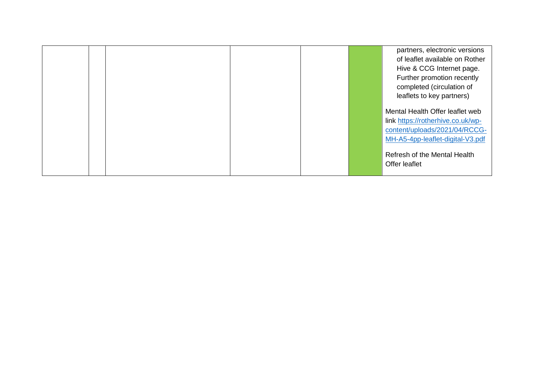|  |  |  | partners, electronic versions     |
|--|--|--|-----------------------------------|
|  |  |  | of leaflet available on Rother    |
|  |  |  | Hive & CCG Internet page.         |
|  |  |  | Further promotion recently        |
|  |  |  | completed (circulation of         |
|  |  |  | leaflets to key partners)         |
|  |  |  | Mental Health Offer leaflet web   |
|  |  |  | link https://rotherhive.co.uk/wp- |
|  |  |  | content/uploads/2021/04/RCCG-     |
|  |  |  | MH-A5-4pp-leaflet-digital-V3.pdf  |
|  |  |  | Refresh of the Mental Health      |
|  |  |  | Offer leaflet                     |
|  |  |  |                                   |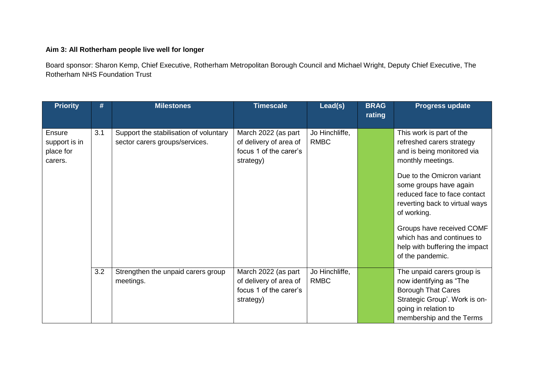## **Aim 3: All Rotherham people live well for longer**

Board sponsor: Sharon Kemp, Chief Executive, Rotherham Metropolitan Borough Council and Michael Wright, Deputy Chief Executive, The Rotherham NHS Foundation Trust

| <b>Priority</b>                                        | #   | <b>Milestones</b>                                                        | <b>Timescale</b>                                                                     | Lead(s)                       | <b>BRAG</b><br>rating | <b>Progress update</b>                                                                                                                                                                                                                                                                                                                                             |
|--------------------------------------------------------|-----|--------------------------------------------------------------------------|--------------------------------------------------------------------------------------|-------------------------------|-----------------------|--------------------------------------------------------------------------------------------------------------------------------------------------------------------------------------------------------------------------------------------------------------------------------------------------------------------------------------------------------------------|
| <b>Ensure</b><br>support is in<br>place for<br>carers. | 3.1 | Support the stabilisation of voluntary<br>sector carers groups/services. | March 2022 (as part<br>of delivery of area of<br>focus 1 of the carer's<br>strategy) | Jo Hinchliffe,<br><b>RMBC</b> |                       | This work is part of the<br>refreshed carers strategy<br>and is being monitored via<br>monthly meetings.<br>Due to the Omicron variant<br>some groups have again<br>reduced face to face contact<br>reverting back to virtual ways<br>of working.<br>Groups have received COMF<br>which has and continues to<br>help with buffering the impact<br>of the pandemic. |
|                                                        | 3.2 | Strengthen the unpaid carers group<br>meetings.                          | March 2022 (as part<br>of delivery of area of<br>focus 1 of the carer's<br>strategy) | Jo Hinchliffe,<br><b>RMBC</b> |                       | The unpaid carers group is<br>now identifying as "The<br><b>Borough That Cares</b><br>Strategic Group'. Work is on-<br>going in relation to<br>membership and the Terms                                                                                                                                                                                            |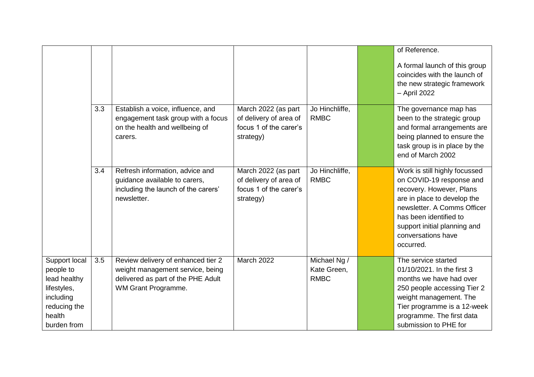|                                                                                                                 |     |                                                                                                                                     |                                                                                      |                                            | of Reference.                                                                                                                                                                                                                                    |
|-----------------------------------------------------------------------------------------------------------------|-----|-------------------------------------------------------------------------------------------------------------------------------------|--------------------------------------------------------------------------------------|--------------------------------------------|--------------------------------------------------------------------------------------------------------------------------------------------------------------------------------------------------------------------------------------------------|
|                                                                                                                 |     |                                                                                                                                     |                                                                                      |                                            | A formal launch of this group<br>coincides with the launch of<br>the new strategic framework<br>- April 2022                                                                                                                                     |
|                                                                                                                 | 3.3 | Establish a voice, influence, and<br>engagement task group with a focus<br>on the health and wellbeing of<br>carers.                | March 2022 (as part<br>of delivery of area of<br>focus 1 of the carer's<br>strategy) | Jo Hinchliffe,<br><b>RMBC</b>              | The governance map has<br>been to the strategic group<br>and formal arrangements are<br>being planned to ensure the<br>task group is in place by the<br>end of March 2002                                                                        |
|                                                                                                                 | 3.4 | Refresh information, advice and<br>guidance available to carers,<br>including the launch of the carers'<br>newsletter.              | March 2022 (as part<br>of delivery of area of<br>focus 1 of the carer's<br>strategy) | Jo Hinchliffe,<br><b>RMBC</b>              | Work is still highly focussed<br>on COVID-19 response and<br>recovery. However, Plans<br>are in place to develop the<br>newsletter, A Comms Officer<br>has been identified to<br>support initial planning and<br>conversations have<br>occurred. |
| Support local<br>people to<br>lead healthy<br>lifestyles,<br>including<br>reducing the<br>health<br>burden from | 3.5 | Review delivery of enhanced tier 2<br>weight management service, being<br>delivered as part of the PHE Adult<br>WM Grant Programme. | March 2022                                                                           | Michael Ng /<br>Kate Green,<br><b>RMBC</b> | The service started<br>01/10/2021. In the first 3<br>months we have had over<br>250 people accessing Tier 2<br>weight management. The<br>Tier programme is a 12-week<br>programme. The first data<br>submission to PHE for                       |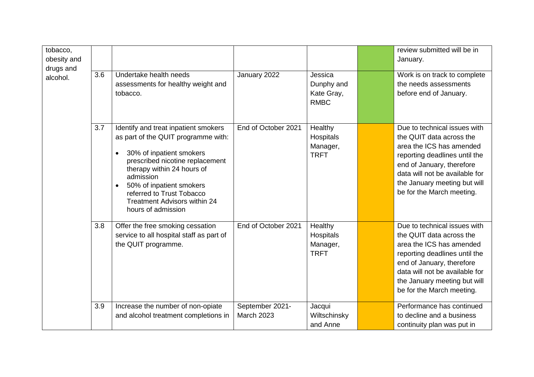| tobacco,<br>obesity and<br>drugs and<br>alcohol. | 3.6 | Undertake health needs<br>assessments for healthy weight and<br>tobacco.                                                                                                                                                                                                                                                 | January 2022                         | Jessica<br>Dunphy and<br>Kate Gray,<br><b>RMBC</b> | review submitted will be in<br>January.<br>Work is on track to complete<br>the needs assessments<br>before end of January.                                                                                                                        |
|--------------------------------------------------|-----|--------------------------------------------------------------------------------------------------------------------------------------------------------------------------------------------------------------------------------------------------------------------------------------------------------------------------|--------------------------------------|----------------------------------------------------|---------------------------------------------------------------------------------------------------------------------------------------------------------------------------------------------------------------------------------------------------|
|                                                  | 3.7 | Identify and treat inpatient smokers<br>as part of the QUIT programme with:<br>30% of inpatient smokers<br>$\bullet$<br>prescribed nicotine replacement<br>therapy within 24 hours of<br>admission<br>50% of inpatient smokers<br>referred to Trust Tobacco<br><b>Treatment Advisors within 24</b><br>hours of admission | End of October 2021                  | Healthy<br>Hospitals<br>Manager,<br><b>TRFT</b>    | Due to technical issues with<br>the QUIT data across the<br>area the ICS has amended<br>reporting deadlines until the<br>end of January, therefore<br>data will not be available for<br>the January meeting but will<br>be for the March meeting. |
|                                                  | 3.8 | Offer the free smoking cessation<br>service to all hospital staff as part of<br>the QUIT programme.                                                                                                                                                                                                                      | End of October 2021                  | Healthy<br>Hospitals<br>Manager,<br><b>TRFT</b>    | Due to technical issues with<br>the QUIT data across the<br>area the ICS has amended<br>reporting deadlines until the<br>end of January, therefore<br>data will not be available for<br>the January meeting but will<br>be for the March meeting. |
|                                                  | 3.9 | Increase the number of non-opiate<br>and alcohol treatment completions in                                                                                                                                                                                                                                                | September 2021-<br><b>March 2023</b> | Jacqui<br>Wiltschinsky<br>and Anne                 | Performance has continued<br>to decline and a business<br>continuity plan was put in                                                                                                                                                              |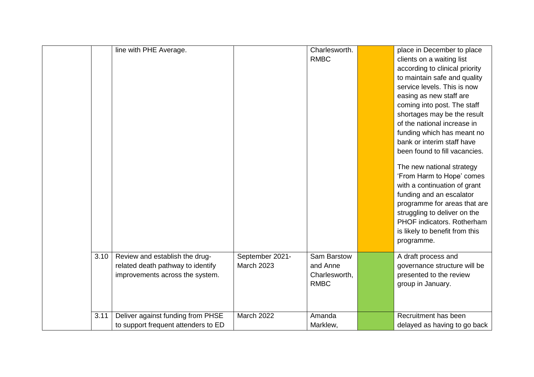|      | line with PHE Average.              |                   | Charlesworth. | place in December to place     |
|------|-------------------------------------|-------------------|---------------|--------------------------------|
|      |                                     |                   | <b>RMBC</b>   | clients on a waiting list      |
|      |                                     |                   |               | according to clinical priority |
|      |                                     |                   |               | to maintain safe and quality   |
|      |                                     |                   |               | service levels. This is now    |
|      |                                     |                   |               | easing as new staff are        |
|      |                                     |                   |               | coming into post. The staff    |
|      |                                     |                   |               | shortages may be the result    |
|      |                                     |                   |               | of the national increase in    |
|      |                                     |                   |               | funding which has meant no     |
|      |                                     |                   |               | bank or interim staff have     |
|      |                                     |                   |               | been found to fill vacancies.  |
|      |                                     |                   |               | The new national strategy      |
|      |                                     |                   |               | 'From Harm to Hope' comes      |
|      |                                     |                   |               | with a continuation of grant   |
|      |                                     |                   |               | funding and an escalator       |
|      |                                     |                   |               | programme for areas that are   |
|      |                                     |                   |               | struggling to deliver on the   |
|      |                                     |                   |               | PHOF indicators. Rotherham     |
|      |                                     |                   |               | is likely to benefit from this |
|      |                                     |                   |               | programme.                     |
| 3.10 | Review and establish the drug-      | September 2021-   | Sam Barstow   | A draft process and            |
|      | related death pathway to identify   | <b>March 2023</b> | and Anne      | governance structure will be   |
|      | improvements across the system.     |                   | Charlesworth, | presented to the review        |
|      |                                     |                   | <b>RMBC</b>   | group in January.              |
|      |                                     |                   |               |                                |
|      |                                     |                   |               |                                |
| 3.11 | Deliver against funding from PHSE   | <b>March 2022</b> | Amanda        | Recruitment has been           |
|      | to support frequent attenders to ED |                   | Marklew,      | delayed as having to go back   |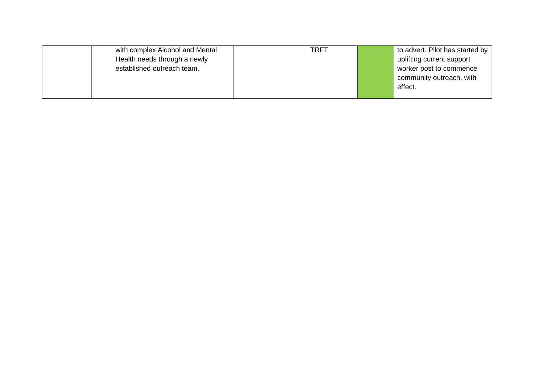| with complex Alcohol and Mental | <b>TRFT</b> | to advert. Pilot has started by |
|---------------------------------|-------------|---------------------------------|
| Health needs through a newly    |             | uplifting current support       |
| established outreach team.      |             | worker post to commence         |
|                                 |             | community outreach, with        |
|                                 |             | effect.                         |
|                                 |             |                                 |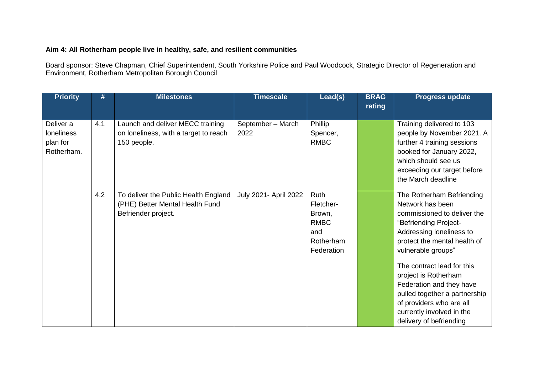#### **Aim 4: All Rotherham people live in healthy, safe, and resilient communities**

Board sponsor: Steve Chapman, Chief Superintendent, South Yorkshire Police and Paul Woodcock, Strategic Director of Regeneration and Environment, Rotherham Metropolitan Borough Council

| <b>Priority</b>                                   | #   | <b>Milestones</b>                                                                              | <b>Timescale</b>          | Lead(s)                                                                      | <b>BRAG</b><br>rating | Progress update                                                                                                                                                                                                                                                                                                                                                                                |
|---------------------------------------------------|-----|------------------------------------------------------------------------------------------------|---------------------------|------------------------------------------------------------------------------|-----------------------|------------------------------------------------------------------------------------------------------------------------------------------------------------------------------------------------------------------------------------------------------------------------------------------------------------------------------------------------------------------------------------------------|
| Deliver a<br>loneliness<br>plan for<br>Rotherham. | 4.1 | Launch and deliver MECC training<br>on loneliness, with a target to reach<br>150 people.       | September - March<br>2022 | Phillip<br>Spencer,<br><b>RMBC</b>                                           |                       | Training delivered to 103<br>people by November 2021. A<br>further 4 training sessions<br>booked for January 2022,<br>which should see us<br>exceeding our target before<br>the March deadline                                                                                                                                                                                                 |
|                                                   | 4.2 | To deliver the Public Health England<br>(PHE) Better Mental Health Fund<br>Befriender project. | July 2021- April 2022     | Ruth<br>Fletcher-<br>Brown,<br><b>RMBC</b><br>and<br>Rotherham<br>Federation |                       | The Rotherham Befriending<br>Network has been<br>commissioned to deliver the<br>"Befriending Project-<br>Addressing loneliness to<br>protect the mental health of<br>vulnerable groups"<br>The contract lead for this<br>project is Rotherham<br>Federation and they have<br>pulled together a partnership<br>of providers who are all<br>currently involved in the<br>delivery of befriending |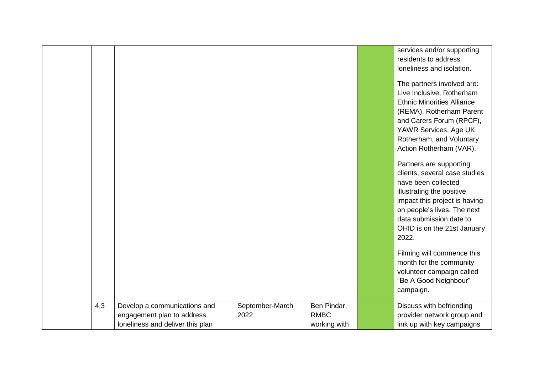|     |                                  |                 |              | services and/or supporting<br>residents to address<br>loneliness and isolation.<br>The partners involved are:<br>Live Inclusive, Rotherham<br><b>Ethnic Minorities Alliance</b><br>(REMA), Rotherham Parent<br>and Carers Forum (RPCF),<br>YAWR Services, Age UK<br>Rotherham, and Voluntary<br>Action Rotherham (VAR).<br>Partners are supporting<br>clients, several case studies<br>have been collected<br>illustrating the positive<br>impact this project is having<br>on people's lives. The next<br>data submission date to<br>OHID is on the 21st January<br>2022.<br>Filming will commence this<br>month for the community<br>volunteer campaign called<br>"Be A Good Neighbour"<br>campaign. |
|-----|----------------------------------|-----------------|--------------|--------------------------------------------------------------------------------------------------------------------------------------------------------------------------------------------------------------------------------------------------------------------------------------------------------------------------------------------------------------------------------------------------------------------------------------------------------------------------------------------------------------------------------------------------------------------------------------------------------------------------------------------------------------------------------------------------------|
| 4.3 | Develop a communications and     | September-March | Ben Pindar,  | Discuss with befriending                                                                                                                                                                                                                                                                                                                                                                                                                                                                                                                                                                                                                                                                               |
|     | engagement plan to address       | 2022            | <b>RMBC</b>  | provider network group and                                                                                                                                                                                                                                                                                                                                                                                                                                                                                                                                                                                                                                                                             |
|     | loneliness and deliver this plan |                 | working with | link up with key campaigns                                                                                                                                                                                                                                                                                                                                                                                                                                                                                                                                                                                                                                                                             |
|     |                                  |                 |              |                                                                                                                                                                                                                                                                                                                                                                                                                                                                                                                                                                                                                                                                                                        |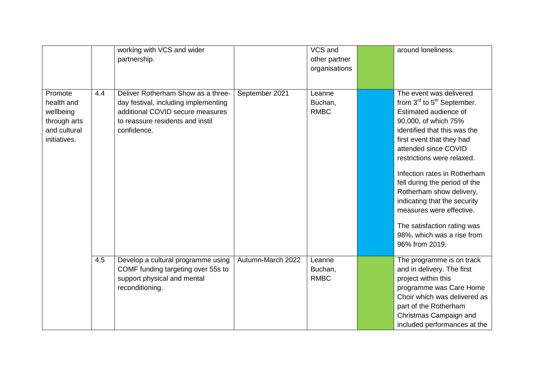|                                                                                    |     | working with VCS and wider<br>partnership.                                                                                                                        |                   | VCS and<br>other partner<br>organisations | around loneliness.                                                                                                                                                                                                                                                                                                                                                                                                                                                          |
|------------------------------------------------------------------------------------|-----|-------------------------------------------------------------------------------------------------------------------------------------------------------------------|-------------------|-------------------------------------------|-----------------------------------------------------------------------------------------------------------------------------------------------------------------------------------------------------------------------------------------------------------------------------------------------------------------------------------------------------------------------------------------------------------------------------------------------------------------------------|
| Promote<br>health and<br>wellbeing<br>through arts<br>and cultural<br>initiatives. | 4.4 | Deliver Rotherham Show as a three-<br>day festival, including implementing<br>additional COVID secure measures<br>to reassure residents and instil<br>confidence. | September 2021    | Leanne<br>Buchan,<br><b>RMBC</b>          | The event was delivered<br>from $3^{rd}$ to $5^{th}$ September.<br>Estimated audience of<br>90,000, of which 75%<br>identified that this was the<br>first event that they had<br>attended since COVID<br>restrictions were relaxed.<br>Infection rates in Rotherham<br>fell during the period of the<br>Rotherham show delivery,<br>indicating that the security<br>measures were effective.<br>The satisfaction rating was<br>98%, which was a rise from<br>96% from 2019. |
|                                                                                    | 4.5 | Develop a cultural programme using<br>COMF funding targeting over 55s to<br>support physical and mental<br>reconditioning.                                        | Autumn-March 2022 | Leanne<br>Buchan,<br><b>RMBC</b>          | The programme is on track<br>and in delivery. The first<br>project within this<br>programme was Care Home<br>Choir which was delivered as<br>part of the Rotherham<br>Christmas Campaign and<br>included performances at the                                                                                                                                                                                                                                                |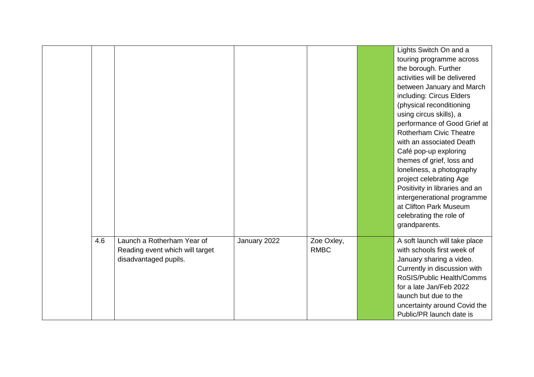|     |                                                                                        |              |                           | Lights Switch On and a<br>touring programme across<br>the borough. Further<br>activities will be delivered<br>between January and March<br>including: Circus Elders<br>(physical reconditioning<br>using circus skills), a<br>performance of Good Grief at<br><b>Rotherham Civic Theatre</b><br>with an associated Death<br>Café pop-up exploring<br>themes of grief, loss and<br>loneliness, a photography<br>project celebrating Age<br>Positivity in libraries and an<br>intergenerational programme<br>at Clifton Park Museum |
|-----|----------------------------------------------------------------------------------------|--------------|---------------------------|-----------------------------------------------------------------------------------------------------------------------------------------------------------------------------------------------------------------------------------------------------------------------------------------------------------------------------------------------------------------------------------------------------------------------------------------------------------------------------------------------------------------------------------|
|     |                                                                                        |              |                           | celebrating the role of<br>grandparents.                                                                                                                                                                                                                                                                                                                                                                                                                                                                                          |
| 4.6 | Launch a Rotherham Year of<br>Reading event which will target<br>disadvantaged pupils. | January 2022 | Zoe Oxley,<br><b>RMBC</b> | A soft launch will take place<br>with schools first week of<br>January sharing a video.<br>Currently in discussion with<br>RoSIS/Public Health/Comms<br>for a late Jan/Feb 2022<br>launch but due to the<br>uncertainty around Covid the<br>Public/PR launch date is                                                                                                                                                                                                                                                              |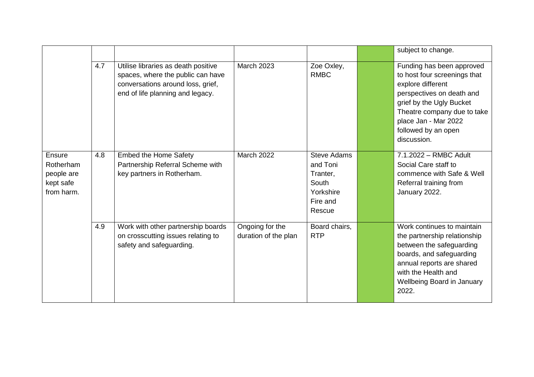|                                                              |     |                                                                                                                                                   |                                         |                                                                                        | subject to change.                                                                                                                                                                                                                   |  |
|--------------------------------------------------------------|-----|---------------------------------------------------------------------------------------------------------------------------------------------------|-----------------------------------------|----------------------------------------------------------------------------------------|--------------------------------------------------------------------------------------------------------------------------------------------------------------------------------------------------------------------------------------|--|
|                                                              | 4.7 | Utilise libraries as death positive<br>spaces, where the public can have<br>conversations around loss, grief,<br>end of life planning and legacy. | <b>March 2023</b>                       | Zoe Oxley,<br><b>RMBC</b>                                                              | Funding has been approved<br>to host four screenings that<br>explore different<br>perspectives on death and<br>grief by the Ugly Bucket<br>Theatre company due to take<br>place Jan - Mar 2022<br>followed by an open<br>discussion. |  |
| Ensure<br>Rotherham<br>people are<br>kept safe<br>from harm. | 4.8 | <b>Embed the Home Safety</b><br>Partnership Referral Scheme with<br>key partners in Rotherham.                                                    | <b>March 2022</b>                       | <b>Steve Adams</b><br>and Toni<br>Tranter,<br>South<br>Yorkshire<br>Fire and<br>Rescue | 7.1.2022 - RMBC Adult<br>Social Care staff to<br>commence with Safe & Well<br>Referral training from<br>January 2022.                                                                                                                |  |
|                                                              | 4.9 | Work with other partnership boards<br>on crosscutting issues relating to<br>safety and safeguarding.                                              | Ongoing for the<br>duration of the plan | Board chairs,<br><b>RTP</b>                                                            | Work continues to maintain<br>the partnership relationship<br>between the safeguarding<br>boards, and safeguarding<br>annual reports are shared<br>with the Health and<br><b>Wellbeing Board in January</b><br>2022.                 |  |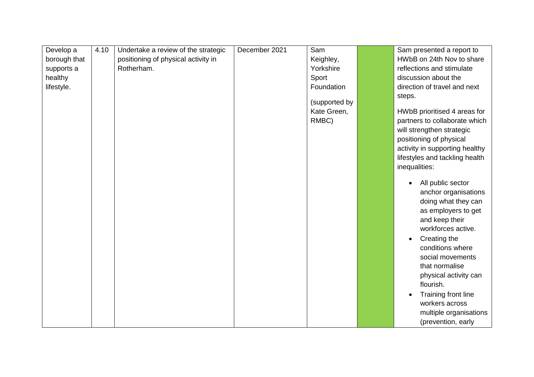| Develop a    | 4.10 | Undertake a review of the strategic | December 2021 | Sam           | Sam presented a report to                   |
|--------------|------|-------------------------------------|---------------|---------------|---------------------------------------------|
| borough that |      | positioning of physical activity in |               | Keighley,     | HWbB on 24th Nov to share                   |
| supports a   |      | Rotherham.                          |               | Yorkshire     | reflections and stimulate                   |
| healthy      |      |                                     |               | Sport         | discussion about the                        |
| lifestyle.   |      |                                     |               | Foundation    | direction of travel and next                |
|              |      |                                     |               |               | steps.                                      |
|              |      |                                     |               | (supported by |                                             |
|              |      |                                     |               | Kate Green,   | HWbB prioritised 4 areas for                |
|              |      |                                     |               | RMBC)         | partners to collaborate which               |
|              |      |                                     |               |               | will strengthen strategic                   |
|              |      |                                     |               |               | positioning of physical                     |
|              |      |                                     |               |               | activity in supporting healthy              |
|              |      |                                     |               |               | lifestyles and tackling health              |
|              |      |                                     |               |               | inequalities:                               |
|              |      |                                     |               |               |                                             |
|              |      |                                     |               |               | All public sector                           |
|              |      |                                     |               |               | anchor organisations<br>doing what they can |
|              |      |                                     |               |               |                                             |
|              |      |                                     |               |               | as employers to get                         |
|              |      |                                     |               |               | and keep their<br>workforces active.        |
|              |      |                                     |               |               |                                             |
|              |      |                                     |               |               | Creating the<br>$\bullet$                   |
|              |      |                                     |               |               | conditions where                            |
|              |      |                                     |               |               | social movements                            |
|              |      |                                     |               |               | that normalise                              |
|              |      |                                     |               |               | physical activity can                       |
|              |      |                                     |               |               | flourish.                                   |
|              |      |                                     |               |               | Training front line                         |
|              |      |                                     |               |               | workers across                              |
|              |      |                                     |               |               | multiple organisations                      |
|              |      |                                     |               |               | (prevention, early                          |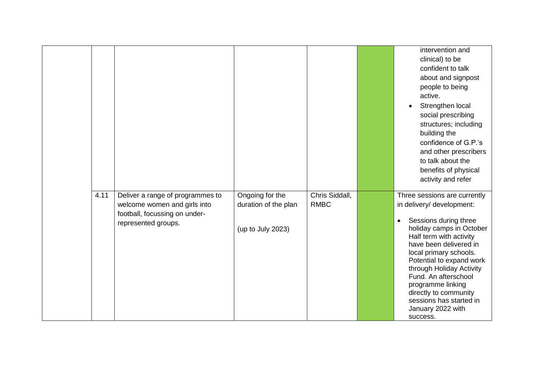|      |                                                                                                                          |                                                              |                               | intervention and<br>clinical) to be<br>confident to talk<br>about and signpost<br>people to being<br>active.<br>Strengthen local<br>social prescribing<br>structures; including<br>building the<br>confidence of G.P.'s<br>and other prescribers<br>to talk about the |
|------|--------------------------------------------------------------------------------------------------------------------------|--------------------------------------------------------------|-------------------------------|-----------------------------------------------------------------------------------------------------------------------------------------------------------------------------------------------------------------------------------------------------------------------|
|      |                                                                                                                          |                                                              |                               | benefits of physical                                                                                                                                                                                                                                                  |
|      |                                                                                                                          |                                                              |                               | activity and refer                                                                                                                                                                                                                                                    |
| 4.11 | Deliver a range of programmes to<br>welcome women and girls into<br>football, focussing on under-<br>represented groups. | Ongoing for the<br>duration of the plan<br>(up to July 2023) | Chris Siddall,<br><b>RMBC</b> | Three sessions are currently<br>in delivery/ development:<br>Sessions during three<br>$\bullet$<br>holiday camps in October<br>Half term with activity<br>have been delivered in<br>local primary schools.                                                            |
|      |                                                                                                                          |                                                              |                               | Potential to expand work<br>through Holiday Activity<br>Fund. An afterschool<br>programme linking<br>directly to community<br>sessions has started in<br>January 2022 with<br>success.                                                                                |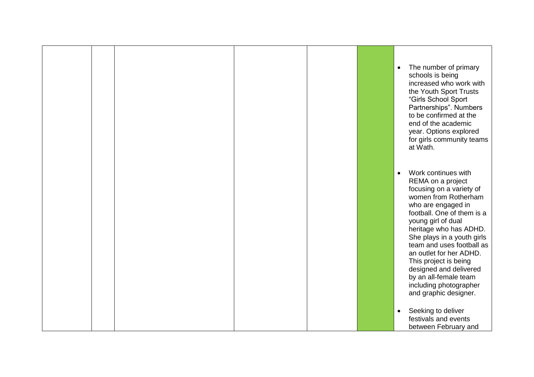|  |  |  | The number of primary<br>$\bullet$<br>schools is being<br>increased who work with<br>the Youth Sport Trusts<br>"Girls School Sport<br>Partnerships". Numbers<br>to be confirmed at the<br>end of the academic<br>year. Options explored<br>for girls community teams<br>at Wath.                                                                                                                                                   |
|--|--|--|------------------------------------------------------------------------------------------------------------------------------------------------------------------------------------------------------------------------------------------------------------------------------------------------------------------------------------------------------------------------------------------------------------------------------------|
|  |  |  | Work continues with<br>$\bullet$<br>REMA on a project<br>focusing on a variety of<br>women from Rotherham<br>who are engaged in<br>football. One of them is a<br>young girl of dual<br>heritage who has ADHD.<br>She plays in a youth girls<br>team and uses football as<br>an outlet for her ADHD.<br>This project is being<br>designed and delivered<br>by an all-female team<br>including photographer<br>and graphic designer. |
|  |  |  | Seeking to deliver<br>$\bullet$<br>festivals and events<br>between February and                                                                                                                                                                                                                                                                                                                                                    |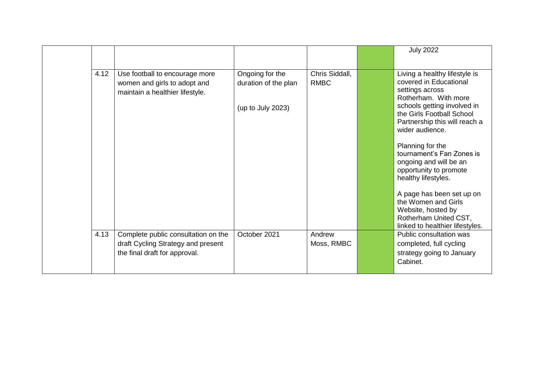|      |                                                                                                            |                                                              |                               | <b>July 2022</b>                                                                                                                                                                                                                                                                                                                                                                                                                                                                     |
|------|------------------------------------------------------------------------------------------------------------|--------------------------------------------------------------|-------------------------------|--------------------------------------------------------------------------------------------------------------------------------------------------------------------------------------------------------------------------------------------------------------------------------------------------------------------------------------------------------------------------------------------------------------------------------------------------------------------------------------|
| 4.12 | Use football to encourage more<br>women and girls to adopt and<br>maintain a healthier lifestyle.          | Ongoing for the<br>duration of the plan<br>(up to July 2023) | Chris Siddall,<br><b>RMBC</b> | Living a healthy lifestyle is<br>covered in Educational<br>settings across<br>Rotherham. With more<br>schools getting involved in<br>the Girls Football School<br>Partnership this will reach a<br>wider audience.<br>Planning for the<br>tournament's Fan Zones is<br>ongoing and will be an<br>opportunity to promote<br>healthy lifestyles.<br>A page has been set up on<br>the Women and Girls<br>Website, hosted by<br>Rotherham United CST,<br>linked to healthier lifestyles. |
| 4.13 | Complete public consultation on the<br>draft Cycling Strategy and present<br>the final draft for approval. | October 2021                                                 | Andrew<br>Moss, RMBC          | Public consultation was<br>completed, full cycling<br>strategy going to January<br>Cabinet.                                                                                                                                                                                                                                                                                                                                                                                          |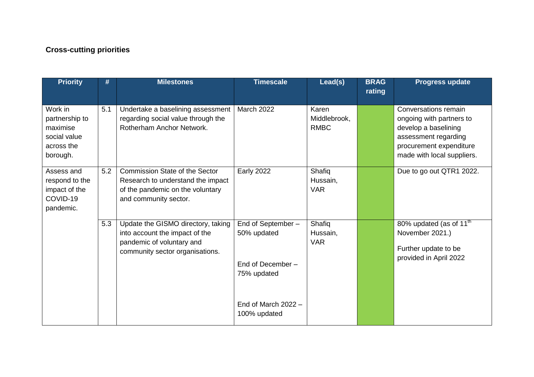## **Cross-cutting priorities**

| <b>Priority</b>                                                                 | #   | <b>Milestones</b>                                                                                                                       | <b>Timescale</b>                                                     | Lead(s)                              | <b>BRAG</b><br>rating | <b>Progress update</b>                                                                                                                                    |
|---------------------------------------------------------------------------------|-----|-----------------------------------------------------------------------------------------------------------------------------------------|----------------------------------------------------------------------|--------------------------------------|-----------------------|-----------------------------------------------------------------------------------------------------------------------------------------------------------|
| Work in<br>partnership to<br>maximise<br>social value<br>across the<br>borough. | 5.1 | Undertake a baselining assessment<br>regarding social value through the<br>Rotherham Anchor Network.                                    | <b>March 2022</b>                                                    | Karen<br>Middlebrook,<br><b>RMBC</b> |                       | Conversations remain<br>ongoing with partners to<br>develop a baselining<br>assessment regarding<br>procurement expenditure<br>made with local suppliers. |
| Assess and<br>respond to the<br>impact of the<br>COVID-19<br>pandemic.          | 5.2 | <b>Commission State of the Sector</b><br>Research to understand the impact<br>of the pandemic on the voluntary<br>and community sector. | <b>Early 2022</b>                                                    | Shafiq<br>Hussain,<br><b>VAR</b>     |                       | Due to go out QTR1 2022.                                                                                                                                  |
|                                                                                 | 5.3 | Update the GISMO directory, taking<br>into account the impact of the<br>pandemic of voluntary and<br>community sector organisations.    | End of September-<br>50% updated<br>End of December -<br>75% updated | Shafiq<br>Hussain,<br><b>VAR</b>     |                       | 80% updated (as of 11 <sup>th</sup><br>November 2021.)<br>Further update to be<br>provided in April 2022                                                  |
|                                                                                 |     |                                                                                                                                         | End of March $2022 -$<br>100% updated                                |                                      |                       |                                                                                                                                                           |